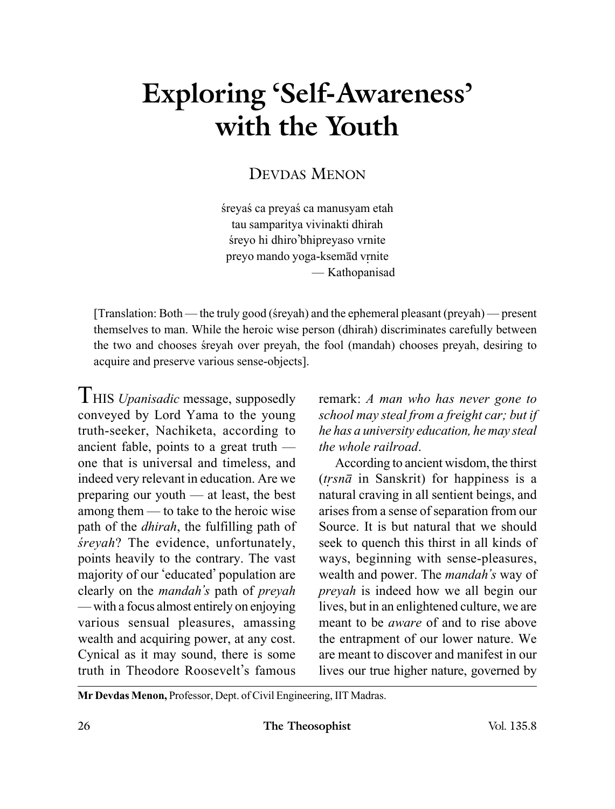# **Exploring 'Self-Awareness' with the Youth**

## DEVDAS MENON

śreyaś ca preyaś ca manusyam etah tau samparitya vivinakti dhirah śreyo hi dhiro'bhipreyaso vrnite preyo mando yoga-ksemād vrnite — Kathopanisad

 $[Translation: Both$ — the truly good (streyah) and the ephemeral pleasant (preyah) — present themselves to man. While the heroic wise person (dhirah) discriminates carefully between the two and chooses sreyah over preyah, the fool (mandah) chooses preyah, desiring to acquire and preserve various sense-objects].

THIS *Upanisadic* message, supposedly conveyed by Lord Yama to the young truth-seeker, Nachiketa, according to ancient fable, points to a great truth one that is universal and timeless, and indeed very relevant in education. Are we preparing our youth — at least, the best among them — to take to the heroic wise path of the *dhirah*, the fulfilling path of *sreyah*? The evidence, unfortunately, points heavily to the contrary. The vast majority of our 'educated' population are clearly on the *mandah's* path of *preyah* — with a focus almost entirely on enjoying various sensual pleasures, amassing wealth and acquiring power, at any cost. Cynical as it may sound, there is some truth in Theodore Roosevelt's famous

remark: *A man who has never gone to school may steal from a freight car; but if he has a university education, he may steal the whole railroad*.

According to ancient wisdom, the thirst  $(trsn\bar{a}$  in Sanskrit) for happiness is a natural craving in all sentient beings, and arises from a sense of separation from our Source. It is but natural that we should seek to quench this thirst in all kinds of ways, beginning with sense-pleasures, wealth and power. The *mandah's* way of *preyah* is indeed how we all begin our lives, but in an enlightened culture, we are meant to be *aware* of and to rise above the entrapment of our lower nature. We are meant to discover and manifest in our lives our true higher nature, governed by

**Mr Devdas Menon,** Professor, Dept. of Civil Engineering, IIT Madras.

26 **The Theosophist** Vol. 135.8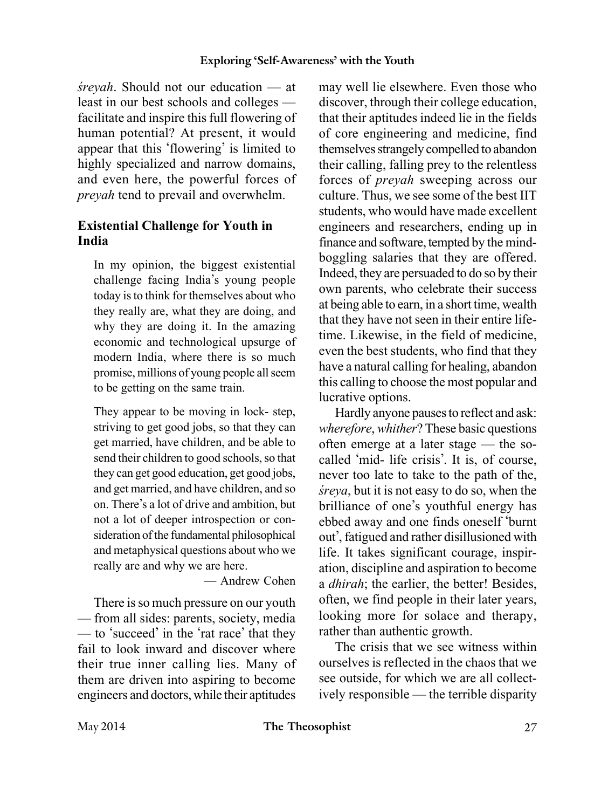*srevah*. Should not our education — at least in our best schools and colleges facilitate and inspire this full flowering of human potential? At present, it would appear that this 'flowering' is limited to highly specialized and narrow domains, and even here, the powerful forces of *preyah* tend to prevail and overwhelm.

#### **Existential Challenge for Youth in India**

In my opinion, the biggest existential challenge facing India's young people today is to think for themselves about who they really are, what they are doing, and why they are doing it. In the amazing economic and technological upsurge of modern India, where there is so much promise, millions of young people all seem to be getting on the same train.

They appear to be moving in lock- step, striving to get good jobs, so that they can get married, have children, and be able to send their children to good schools, so that they can get good education, get good jobs, and get married, and have children, and so on. There's a lot of drive and ambition, but not a lot of deeper introspection or consideration of the fundamental philosophical and metaphysical questions about who we really are and why we are here.

— Andrew Cohen

There is so much pressure on our youth — from all sides: parents, society, media — to 'succeed' in the 'rat race' that they fail to look inward and discover where their true inner calling lies. Many of them are driven into aspiring to become engineers and doctors, while their aptitudes may well lie elsewhere. Even those who discover, through their college education, that their aptitudes indeed lie in the fields of core engineering and medicine, find themselves strangely compelled to abandon their calling, falling prey to the relentless forces of *preyah* sweeping across our culture. Thus, we see some of the best IIT students, who would have made excellent engineers and researchers, ending up in finance and software, tempted by the mindboggling salaries that they are offered. Indeed, they are persuaded to do so by their own parents, who celebrate their success at being able to earn, in a short time, wealth that they have not seen in their entire lifetime. Likewise, in the field of medicine, even the best students, who find that they have a natural calling for healing, abandon this calling to choose the most popular and lucrative options.

Hardly anyone pauses to reflect and ask: *wherefore*, *whither*? These basic questions often emerge at a later stage — the socalled 'mid- life crisis'. It is, of course, never too late to take to the path of the, *sreya*, but it is not easy to do so, when the brilliance of one's youthful energy has ebbed away and one finds oneself 'burnt out', fatigued and rather disillusioned with life. It takes significant courage, inspiration, discipline and aspiration to become a *dhirah*; the earlier, the better! Besides, often, we find people in their later years, looking more for solace and therapy, rather than authentic growth.

The crisis that we see witness within ourselves is reflected in the chaos that we see outside, for which we are all collectively responsible — the terrible disparity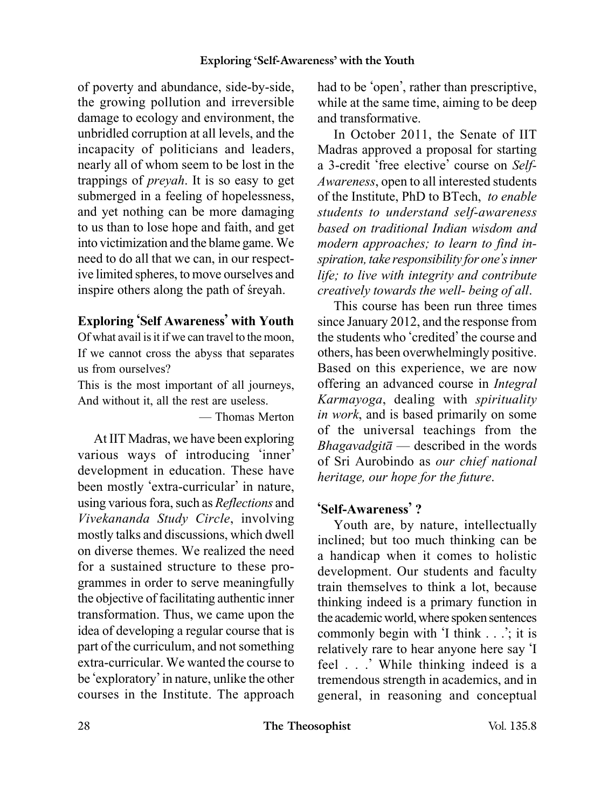of poverty and abundance, side-by-side, the growing pollution and irreversible damage to ecology and environment, the unbridled corruption at all levels, and the incapacity of politicians and leaders, nearly all of whom seem to be lost in the trappings of *preyah*. It is so easy to get submerged in a feeling of hopelessness, and yet nothing can be more damaging to us than to lose hope and faith, and get into victimization and the blame game. We need to do all that we can, in our respective limited spheres, to move ourselves and inspire others along the path of sreyah.

### **Exploring 'Self Awareness' with Youth**

Of what avail is it if we can travel to the moon, If we cannot cross the abyss that separates us from ourselves?

This is the most important of all journeys, And without it, all the rest are useless.

— Thomas Merton

At IIT Madras, we have been exploring various ways of introducing 'inner' development in education. These have been mostly 'extra-curricular' in nature, using various fora, such as *Reflections* and *Vivekananda Study Circle*, involving mostly talks and discussions, which dwell on diverse themes. We realized the need for a sustained structure to these programmes in order to serve meaningfully the objective of facilitating authentic inner transformation. Thus, we came upon the idea of developing a regular course that is part of the curriculum, and not something extra-curricular. We wanted the course to be 'exploratory' in nature, unlike the other courses in the Institute. The approach had to be 'open', rather than prescriptive, while at the same time, aiming to be deep and transformative.

In October 2011, the Senate of IIT Madras approved a proposal for starting a 3-credit 'free elective' course on *Self-Awareness*, open to all interested students of the Institute, PhD to BTech, *to enable students to understand self-awareness based on traditional Indian wisdom and modern approaches; to learn to find inspiration, take responsibility for one's inner life; to live with integrity and contribute creatively towards the well- being of all*.

This course has been run three times since January 2012, and the response from the students who 'credited' the course and others, has been overwhelmingly positive. Based on this experience, we are now offering an advanced course in *Integral Karmayoga*, dealing with *spirituality in work*, and is based primarily on some of the universal teachings from the *Bhagavadgitâ* — described in the words of Sri Aurobindo as *our chief national heritage, our hope for the future*.

#### **'Self-Awareness' ?**

Youth are, by nature, intellectually inclined; but too much thinking can be a handicap when it comes to holistic development. Our students and faculty train themselves to think a lot, because thinking indeed is a primary function in the academic world, where spoken sentences commonly begin with 'I think . . .': it is relatively rare to hear anyone here say 'I feel . . .' While thinking indeed is a tremendous strength in academics, and in general, in reasoning and conceptual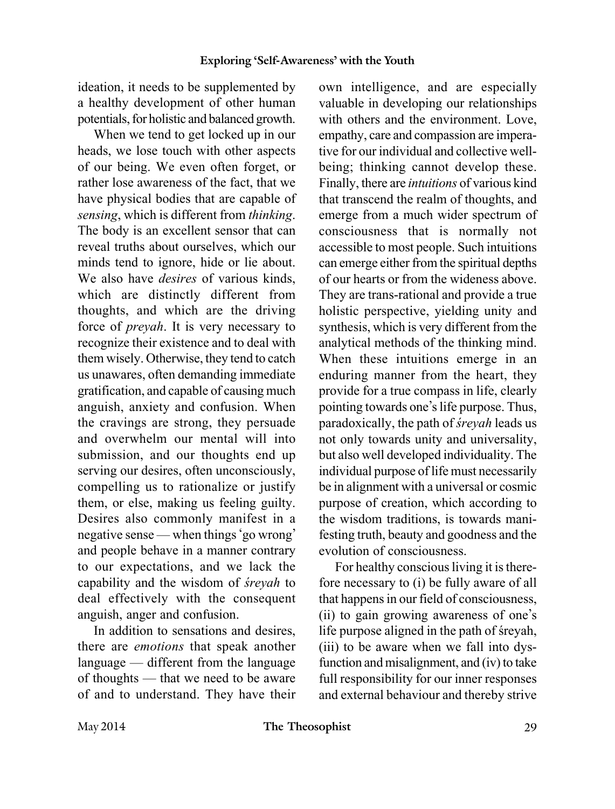ideation, it needs to be supplemented by a healthy development of other human potentials, for holistic and balanced growth.

When we tend to get locked up in our heads, we lose touch with other aspects of our being. We even often forget, or rather lose awareness of the fact, that we have physical bodies that are capable of *sensing*, which is different from *thinking*. The body is an excellent sensor that can reveal truths about ourselves, which our minds tend to ignore, hide or lie about. We also have *desires* of various kinds, which are distinctly different from thoughts, and which are the driving force of *preyah*. It is very necessary to recognize their existence and to deal with them wisely. Otherwise, they tend to catch us unawares, often demanding immediate gratification, and capable of causing much anguish, anxiety and confusion. When the cravings are strong, they persuade and overwhelm our mental will into submission, and our thoughts end up serving our desires, often unconsciously, compelling us to rationalize or justify them, or else, making us feeling guilty. Desires also commonly manifest in a negative sense — when things 'go wrong' and people behave in a manner contrary to our expectations, and we lack the capability and the wisdom of *sreyah* to deal effectively with the consequent anguish, anger and confusion.

In addition to sensations and desires, there are *emotions* that speak another language — different from the language of thoughts — that we need to be aware of and to understand. They have their

own intelligence, and are especially valuable in developing our relationships with others and the environment. Love, empathy, care and compassion are imperative for our individual and collective wellbeing; thinking cannot develop these. Finally, there are *intuitions* of various kind that transcend the realm of thoughts, and emerge from a much wider spectrum of consciousness that is normally not accessible to most people. Such intuitions can emerge either from the spiritual depths of our hearts or from the wideness above. They are trans-rational and provide a true holistic perspective, yielding unity and synthesis, which is very different from the analytical methods of the thinking mind. When these intuitions emerge in an enduring manner from the heart, they provide for a true compass in life, clearly pointing towards one's life purpose. Thus, paradoxically, the path of *sreyah* leads us not only towards unity and universality, but also well developed individuality. The individual purpose of life must necessarily be in alignment with a universal or cosmic purpose of creation, which according to the wisdom traditions, is towards manifesting truth, beauty and goodness and the evolution of consciousness.

For healthy conscious living it is therefore necessary to (i) be fully aware of all that happens in our field of consciousness, (ii) to gain growing awareness of one's life purpose aligned in the path of sreyah, (iii) to be aware when we fall into dysfunction and misalignment, and (iv) to take full responsibility for our inner responses and external behaviour and thereby strive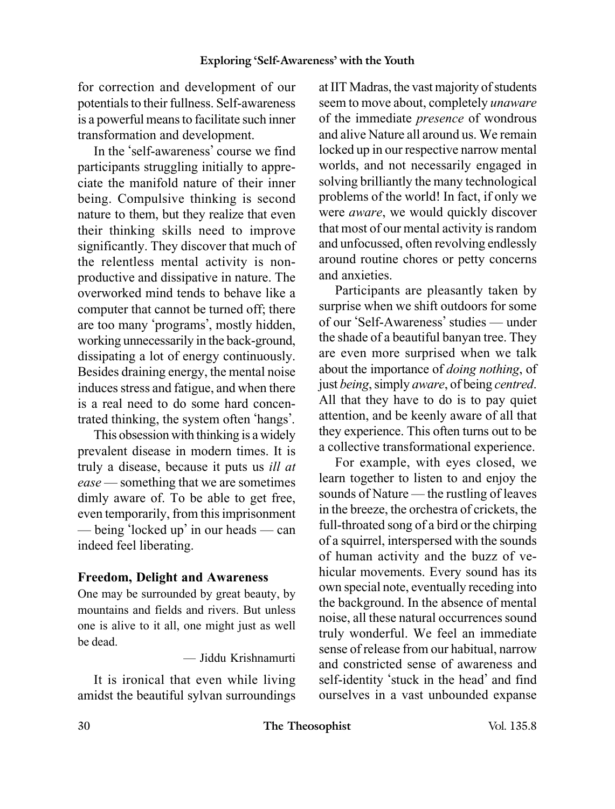for correction and development of our potentials to their fullness. Self-awareness is a powerful means to facilitate such inner transformation and development.

In the 'self-awareness' course we find participants struggling initially to appreciate the manifold nature of their inner being. Compulsive thinking is second nature to them, but they realize that even their thinking skills need to improve significantly. They discover that much of the relentless mental activity is nonproductive and dissipative in nature. The overworked mind tends to behave like a computer that cannot be turned off; there are too many 'programs', mostly hidden, working unnecessarily in the back-ground, dissipating a lot of energy continuously. Besides draining energy, the mental noise induces stress and fatigue, and when there is a real need to do some hard concentrated thinking, the system often 'hangs'.

This obsession with thinking is a widely prevalent disease in modern times. It is truly a disease, because it puts us *ill at ease* — something that we are sometimes dimly aware of. To be able to get free, even temporarily, from this imprisonment — being 'locked up' in our heads — can indeed feel liberating.

#### **Freedom, Delight and Awareness**

One may be surrounded by great beauty, by mountains and fields and rivers. But unless one is alive to it all, one might just as well be dead.

— Jiddu Krishnamurti

It is ironical that even while living amidst the beautiful sylvan surroundings

at IIT Madras, the vast majority of students seem to move about, completely *unaware* of the immediate *presence* of wondrous and alive Nature all around us. We remain locked up in our respective narrow mental worlds, and not necessarily engaged in solving brilliantly the many technological problems of the world! In fact, if only we were *aware*, we would quickly discover that most of our mental activity is random and unfocussed, often revolving endlessly around routine chores or petty concerns and anxieties.

Participants are pleasantly taken by surprise when we shift outdoors for some of our 'Self-Awareness' studies — under the shade of a beautiful banyan tree. They are even more surprised when we talk about the importance of *doing nothing*, of just *being*, simply *aware*, of being *centred*. All that they have to do is to pay quiet attention, and be keenly aware of all that they experience. This often turns out to be a collective transformational experience.

For example, with eyes closed, we learn together to listen to and enjoy the sounds of Nature — the rustling of leaves in the breeze, the orchestra of crickets, the full-throated song of a bird or the chirping of a squirrel, interspersed with the sounds of human activity and the buzz of vehicular movements. Every sound has its own special note, eventually receding into the background. In the absence of mental noise, all these natural occurrences sound truly wonderful. We feel an immediate sense of release from our habitual, narrow and constricted sense of awareness and self-identity 'stuck in the head' and find ourselves in a vast unbounded expanse

30 **The Theosophist** Vol. 135.8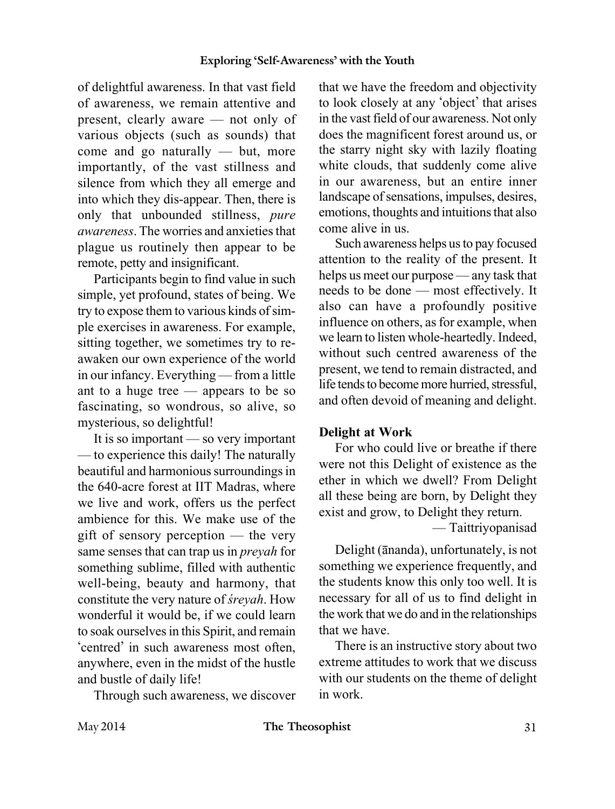of delightful awareness. In that vast field of awareness, we remain attentive and present, clearly aware — not only of various objects (such as sounds) that come and go naturally — but, more importantly, of the vast stillness and silence from which they all emerge and into which they dis-appear. Then, there is only that unbounded stillness, *pure awareness*. The worries and anxieties that plague us routinely then appear to be remote, petty and insignificant.

Participants begin to find value in such simple, yet profound, states of being. We try to expose them to various kinds of simple exercises in awareness. For example, sitting together, we sometimes try to reawaken our own experience of the world in our infancy. Everything — from a little ant to a huge tree — appears to be so fascinating, so wondrous, so alive, so mysterious, so delightful!

It is so important — so very important — to experience this daily! The naturally beautiful and harmonious surroundings in the 640-acre forest at IIT Madras, where we live and work, offers us the perfect ambience for this. We make use of the gift of sensory perception — the very same senses that can trap us in *preyah* for something sublime, filled with authentic well-being, beauty and harmony, that constitute the very nature of *sreyah*. How wonderful it would be, if we could learn to soak ourselves in this Spirit, and remain 'centred' in such awareness most often, anywhere, even in the midst of the hustle and bustle of daily life!

Through such awareness, we discover

that we have the freedom and objectivity to look closely at any 'object' that arises in the vast field of our awareness. Not only does the magnificent forest around us, or the starry night sky with lazily floating white clouds, that suddenly come alive in our awareness, but an entire inner landscape of sensations, impulses, desires, emotions, thoughts and intuitions that also come alive in us.

Such awareness helps us to pay focused attention to the reality of the present. It helps us meet our purpose — any task that needs to be done — most effectively. It also can have a profoundly positive influence on others, as for example, when we learn to listen whole-heartedly. Indeed, without such centred awareness of the present, we tend to remain distracted, and life tends to become more hurried, stressful, and often devoid of meaning and delight.

#### **Delight at Work**

For who could live or breathe if there were not this Delight of existence as the ether in which we dwell? From Delight all these being are born, by Delight they exist and grow, to Delight they return.

— Taittriyopanisad

Delight (ânanda), unfortunately, is not something we experience frequently, and the students know this only too well. It is necessary for all of us to find delight in the work that we do and in the relationships that we have.

There is an instructive story about two extreme attitudes to work that we discuss with our students on the theme of delight in work.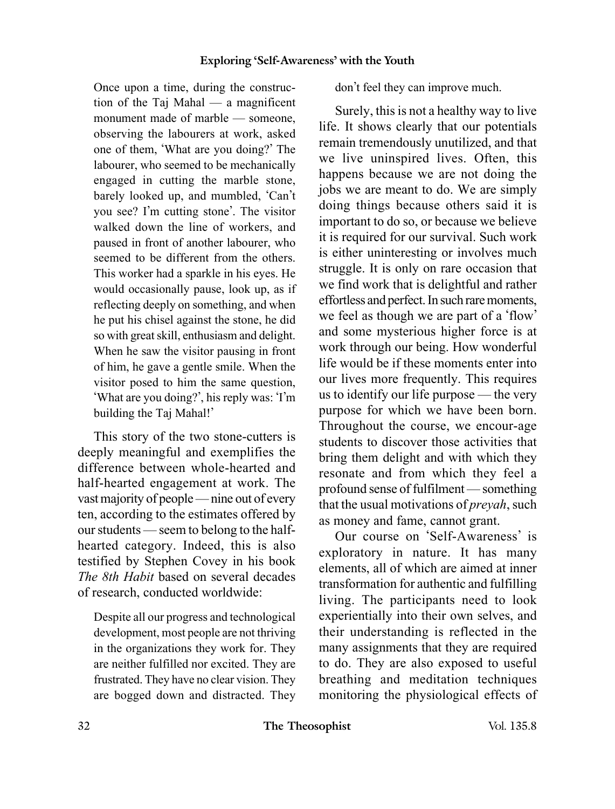Once upon a time, during the construction of the Taj Mahal — a magnificent monument made of marble — someone, observing the labourers at work, asked one of them, 'What are you doing?' The labourer, who seemed to be mechanically engaged in cutting the marble stone, barely looked up, and mumbled, 'Can't you see? I'm cutting stone'. The visitor walked down the line of workers, and paused in front of another labourer, who seemed to be different from the others. This worker had a sparkle in his eyes. He would occasionally pause, look up, as if reflecting deeply on something, and when he put his chisel against the stone, he did so with great skill, enthusiasm and delight. When he saw the visitor pausing in front of him, he gave a gentle smile. When the visitor posed to him the same question, 'What are you doing?', his reply was: 'I'm building the Taj Mahal!'

This story of the two stone-cutters is deeply meaningful and exemplifies the difference between whole-hearted and half-hearted engagement at work. The vast majority of people — nine out of every ten, according to the estimates offered by our students — seem to belong to the halfhearted category. Indeed, this is also testified by Stephen Covey in his book *The 8th Habit* based on several decades of research, conducted worldwide:

Despite all our progress and technological development, most people are not thriving in the organizations they work for. They are neither fulfilled nor excited. They are frustrated. They have no clear vision. They are bogged down and distracted. They don't feel they can improve much.

Surely, this is not a healthy way to live life. It shows clearly that our potentials remain tremendously unutilized, and that we live uninspired lives. Often, this happens because we are not doing the jobs we are meant to do. We are simply doing things because others said it is important to do so, or because we believe it is required for our survival. Such work is either uninteresting or involves much struggle. It is only on rare occasion that we find work that is delightful and rather effortless and perfect. In such rare moments, we feel as though we are part of a 'flow' and some mysterious higher force is at work through our being. How wonderful life would be if these moments enter into our lives more frequently. This requires us to identify our life purpose — the very purpose for which we have been born. Throughout the course, we encour-age students to discover those activities that bring them delight and with which they resonate and from which they feel a profound sense of fulfilment — something that the usual motivations of *preyah*, such as money and fame, cannot grant.

Our course on 'Self-Awareness' is exploratory in nature. It has many elements, all of which are aimed at inner transformation for authentic and fulfilling living. The participants need to look experientially into their own selves, and their understanding is reflected in the many assignments that they are required to do. They are also exposed to useful breathing and meditation techniques monitoring the physiological effects of